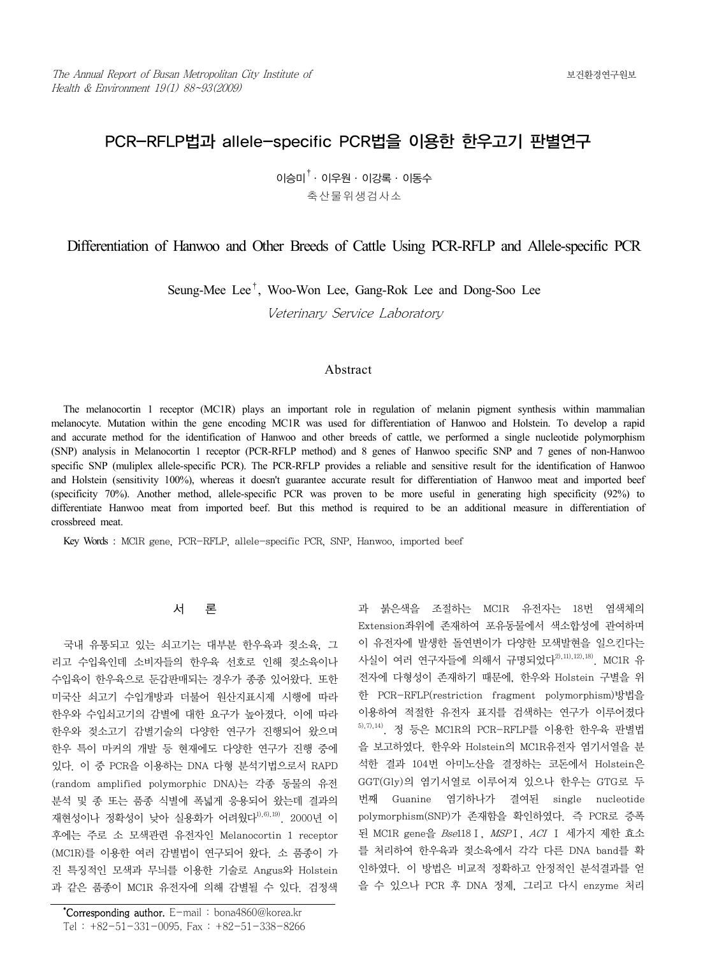# PCR-RFLP법과 allele-specific PCR법을 이용한 한우고기 판별연구

 $0$ 승미 $^{\dagger}$  ・ 이우워 ・ 이강록 ・ 이동수 축산물위생검사소

# Differentiation of Hanwoo and Other Breeds of Cattle Using PCR-RFLP and Allele-specific PCR

Seung-Mee Lee†, Woo-Won Lee, Gang-Rok Lee and Dong-Soo Lee

Veterinary Service Laboratory

## Abstract

The melanocortin 1 receptor (MC1R) plays an important role in regulation of melanin pigment synthesis within mammalian melanocyte. Mutation within the gene encoding MC1R was used for differentiation of Hanwoo and Holstein. To develop a rapid and accurate method for the identification of Hanwoo and other breeds of cattle, we performed a single nucleotide polymorphism (SNP) analysis in Melanocortin 1 receptor (PCR-RFLP method) and 8 genes of Hanwoo specific SNP and 7 genes of non-Hanwoo specific SNP (muliplex allele-specific PCR). The PCR-RFLP provides a reliable and sensitive result for the identification of Hanwoo and Holstein (sensitivity 100%), whereas it doesn't guarantee accurate result for differentiation of Hanwoo meat and imported beef (specificity 70%). Another method, allele-specific PCR was proven to be more useful in generating high specificity (92%) to differentiate Hanwoo meat from imported beef. But this method is required to be an additional measure in differentiation of crossbreed meat.

Key Words : MClR gene, PCR-RFLP, allele-specific PCR, SNP, Hanwoo, imported beef

## 서 론

국내 유통되고 있는 쇠고기는 대부분 한우육과 젖소육, 그 리고 수입육인데 소비자들의 한우육 선호로 인해 젖소육이나 수입육이 한우육으로 둔갑판매되는 경우가 종종 있어왔다. 또한 미국산 쇠고기 수입개방과 더불어 원산지표시제 시행에 따라 한우와 수입쇠고기의 감별에 대한 요구가 높아졌다. 이에 따라 한우와 젖소고기 감별기술의 다양한 연구가 진행되어 왔으며 한우 특이 마커의 개발 등 현재에도 다양한 연구가 진행 중에 있다. 이 중 PCR을 이용하는 DNA 다형 분석기법으로서 RAPD (random amplified polymorphic DNA)는 각종 동물의 유전 분석 및 종 또는 품종 식별에 폭넓게 응용되어 왔는데 결과의 재현성이나 정확성이 낮아 실용화가 어려웠다<sup>1),6),19)</sup> 2000년 이 후에는 주로 소 모색관련 유전자인 Melanocortin 1 receptor (MC1R)를 이용한 여러 감별법이 연구되어 왔다. 소 품종이 가 진 특징적인 모색과 무늬를 이용한 기술로 Angus와 Holstein 과 같은 품종이 MC1R 유전자에 의해 감별될 수 있다. 검정색

\* Corresponding author. E-mail : bona4860@korea.kr Tel : +82-51-331-0095, Fax : +82-51-338-8266 과 붉은색을 조절하는 MC1R 유전자는 18번 염색체의 Extension좌위에 존재하여 포유동물에서 색소합성에 관여하며 이 유전자에 발생한 돌연변이가 다양한 모색발현을 일으킨다는 사실이 여러 연구자들에 의해서 규명되었다<sup>2),11),12),18)</sup>. MC1R 유 전자에 다형성이 존재하기 때문에, 한우와 Holstein 구별을 위 한 PCR-RFLP(restriction fragment polymorphism)방법을 이용하여 적절한 유전자 표지를 검색하는 연구가 이루어졌다  $5$ ,  $7$ ,  $14$ ). 정 등은 MC1R의 PCR-RFLP를 이용한 한우육 판별법 을 보고하였다. 한우와 Holstein의 MC1R유전자 염기서열을 분 석한 결과 104번 아미노산을 결정하는 코돈에서 Holstein은 GGT(Gly)의 염기서열로 이루어져 있으나 한우는 GTG로 두 번째 Guanine 염기하나가 결여된 single nucleotide polymorphism(SNP)가 존재함을 확인하였다. 즉 PCR로 증폭 된 MC1R gene을 Bse118Ⅰ, MSPⅠ, ACI Ⅰ 세가지 제한 효소 를 처리하여 한우육과 젖소육에서 각각 다른 DNA band를 확 인하였다. 이 방법은 비교적 정확하고 안정적인 분석결과를 얻 을 수 있으나 PCR 후 DNA 정제, 그리고 다시 enzyme 처리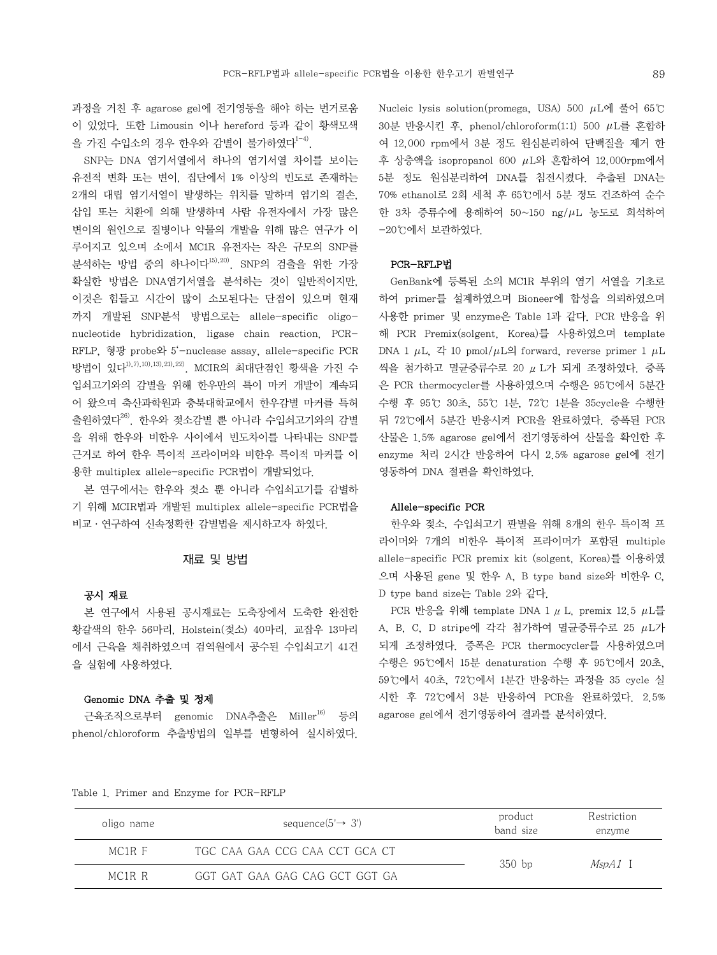과정을 거친 후 agarose gel에 전기영동을 해야 하는 번거로움 이 있었다. 또한 Limousin 이나 hereford 등과 같이 황색모색 을 가진 수입소의 경우 한우와 감별이 불가하였다 $^{1-4)}$ .

SNP는 DNA 염기서열에서 하나의 염기서열 차이를 보이는 유전적 변화 또는 변이, 집단에서 1% 이상의 빈도로 존재하는 2개의 대립 염기서열이 발생하는 위치를 말하며 염기의 결손, 삽입 또는 치환에 의해 발생하며 사람 유전자에서 가장 많은 변이의 원인으로 질병이나 약물의 개발을 위해 많은 연구가 이 루어지고 있으며 소에서 MC1R 유전자는 작은 규모의 SNP를 분석하는 방법 중의 하나이다 $^{15,20)}$ . SNP의 검출을 위한 가장 확실한 방법은 DNA염기서열을 분석하는 것이 일반적이지만, 이것은 힘들고 시간이 많이 소모된다는 단점이 있으며 현재 까지 개발된 SNP분석 방법으로는 allele-specific oligonucleotide hybridization, ligase chain reaction, PCR-RFLP, 형광 probe와 5'-nuclease assay, allele-specific PCR 방법이 있다1),7),10),13),21),22). MCIR의 최대단점인 황색을 가진 수 입쇠고기와의 감별을 위해 한우만의 특이 마커 개발이 계속되 어 왔으며 축산과학원과 충북대학교에서 한우감별 마커를 특허 출원하였다26). 한우와 젖소감별 뿐 아니라 수입쇠고기와의 감별 을 위해 한우와 비한우 사이에서 빈도차이를 나타내는 SNP를 근거로 하여 한우 특이적 프라이머와 비한우 특이적 마커를 이 용한 multiplex allele-specific PCR법이 개발되었다.

본 연구에서는 한우와 젖소 뿐 아니라 수입쇠고기를 감별하 기 위해 MCIR법과 개발된 multiplex allele-specific PCR법을 비교·연구하여 신속정확한 감별법을 제시하고자 하였다.

### 재료 및 방법

## 공시 재료

본 연구에서 사용된 공시재료는 도축장에서 도축한 완전한 황갈색의 한우 56마리, Holstein(젖소) 40마리, 교잡우 13마리 에서 근육을 채취하였으며 검역원에서 공수된 수입쇠고기 41건 을 실험에 사용하였다.

### Genomic DNA 추출 및 정제

근육조직으로부터 genomic DNA추출은 Miller<sup>16)</sup> 등의 phenol/chloroform 추출방법의 일부를 변형하여 실시하였다.

Nucleic lysis solution(promega, USA) 500  $\mu$ L에 풀어 65℃ 30분 반응시킨 후, phenol/chloroform(1:1) 500 L를 혼합하 여 12,000 rpm에서 3분 정도 원심분리하여 단백질을 제거 한 후 상층액을 isopropanol 600  $\mu$ L와 혼합하여 12,000rpm에서 5분 정도 원심분리하여 DNA를 침전시켰다. 추출된 DNA는 70% ethanol로 2회 세척 후 65℃에서 5분 정도 건조하여 순수 한 3차 증류수에 용해하여 50~150 ng/ $\mu$ L 농도로 희석하여  $-20$  $^{\circ}$  $^{\circ}$ 에서 보관하였다.

## PCR-RFLP법

GenBank에 등록된 소의 MC1R 부위의 염기 서열을 기초로 하여 primer를 설계하였으며 Bioneer에 합성을 의뢰하였으며 사용한 primer 및 enzyme은 Table 1과 같다. PCR 반응을 위 해 PCR Premix(solgent, Korea)를 사용하였으며 template DNA 1  $\mu$ L, 각 10 pmol/ $\mu$ L의 forward, reverse primer 1  $\mu$ L 씩을 첨가하고 멸균증류수로 20 μL가 되게 조정하였다. 증폭 은 PCR thermocycler를 사용하였으며 수행은 95℃에서 5분간 수행 후 95℃ 30초, 55℃ 1분, 72℃ 1분을 35cycle을 수행한 뒤 72℃에서 5분간 반응시켜 PCR을 완료하였다. 증폭된 PCR 산물은 1.5% agarose gel에서 전기영동하여 산물을 확인한 후 enzyme 처리 2시간 반응하여 다시 2.5% agarose gel에 전기 영동하여 DNA 절편을 확인하였다.

## Allele-specific PCR

한우와 젖소, 수입쇠고기 판별을 위해 8개의 한우 특이적 프 라이머와 7개의 비한우 특이적 프라이머가 포함된 multiple allele-specific PCR premix kit (solgent, Korea)를 이용하였 으며 사용된 gene 및 한우 A, B type band size와 비한우 C, D type band size는 Table 2와 같다.

PCR 반응을 위해 template DNA 1  $\mu$  L, premix 12.5  $\mu$ L를 A, B, C, D stripe에 각각 첨가하여 멸균증류수로 25  $\mu$ L가 되게 조정하였다. 증폭은 PCR thermocycler를 사용하였으며 수행은 95℃에서 15분 denaturation 수행 후 95℃에서 20초, 59℃에서 40초, 72℃에서 1분간 반응하는 과정을 35 cycle 실 시한 후 72℃에서 3분 반응하여 PCR을 완료하였다. 2.5% agarose gel에서 전기영동하여 결과를 분석하였다.

Table 1. Primer and Enzyme for PCR-RFLP

| oligo name | sequence(5' $\rightarrow$ 3')  | product<br>band size | Restriction<br>enzyme |
|------------|--------------------------------|----------------------|-----------------------|
| MC1R F     | TGC CAA GAA CCG CAA CCT GCA CT | $350$ bp             |                       |
| MC1R R     | GGT GAT GAA GAG CAG GCT GGT GA |                      | <i>MspA1</i> I        |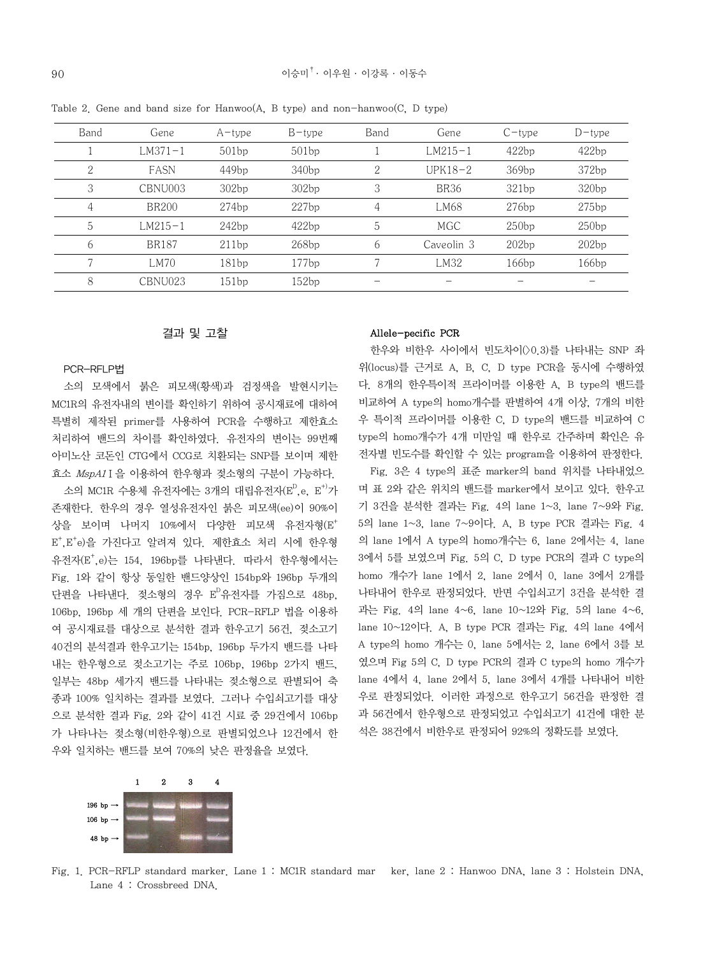| Band | Gene         | $A$ –type | $B$ -type | Band           | Gene        | $C$ – type | $D$ -type |
|------|--------------|-----------|-----------|----------------|-------------|------------|-----------|
|      | $LM371 - 1$  | 501bp     | 501bp     |                | $LM215-1$   | 422bp      | 422bp     |
| 2    | FASN         | 449bp     | 340bp     | $\overline{2}$ | $UPK18-2$   | 369bp      | 372bp     |
| 3    | CBNU003      | 302bp     | 302bp     | 3              | <b>BR36</b> | 321bp      | 320bp     |
| 4    | <b>BR200</b> | 274bp     | 227bp     | $\overline{4}$ | LM68        | 276bp      | 275bp     |
| 5    | $LM215 - 1$  | 242bp     | 422bp     | 5              | <b>MGC</b>  | 250bp      | 250bp     |
| 6    | <b>BR187</b> | 211bp     | 268bp     | 6              | Caveolin 3  | 202bp      | 202bp     |
|      | LM70         | 181bp     | 177bp     | 7              | LM32        | 166bp      | 166bp     |
| 8    | CBNU023      | 151bp     | 152bp     |                |             |            |           |
|      |              |           |           |                |             |            |           |

Table 2. Gene and band size for Hanwoo(A, B type) and non-hanwoo(C, D type)

### 결과 및 고찰

#### PCR-RFLP법

소의 모색에서 붉은 피모색(황색)과 검정색을 발현시키는 MC1R의 유전자내의 변이를 확인하기 위하여 공시재료에 대하여 특별히 제작된 primer를 사용하여 PCR을 수행하고 제한효소 처리하여 밴드의 차이를 확인하였다. 유전자의 변이는 99번째 아미노산 코돈인 CTG에서 CCG로 치환되는 SNP를 보이며 제한 효소 MspA1Ⅰ을 이용하여 한우형과 젖소형의 구분이 가능하다.

소의 MC1R 수용체 유전자에는 3개의 대립유전자(E $^{\textrm{\tiny{\rm{D}}}}$ ,e, E $^{\textrm{\tiny{\rm{+}}}}$ 가 존재한다. 한우의 경우 열성유전자인 붉은 피모색(ee)이 90%이 상을 보이며 나머지 10%에서 다양한 피모색 유전자형(E+ E+ ,E+ e)을 가진다고 알려져 있다. 제한효소 처리 시에 한우형 유전자(E+ ,e)는 154, 196bp를 나타낸다. 따라서 한우형에서는 Fig. 1와 같이 항상 동일한 밴드양상인 154bp와 196bp 두개의 단편을 나타낸다. 젖소형의 경우 E 유전자를 가짐으로 48bp, 106bp, 196bp 세 개의 단편을 보인다. PCR-RFLP 법을 이용하 여 공시재료를 대상으로 분석한 결과 한우고기 56건, 젖소고기 40건의 분석결과 한우고기는 154bp, 196bp 두가지 밴드를 나타 내는 한우형으로 젖소고기는 주로 106bp, 196bp 2가지 밴드, 일부는 48bp 세가지 밴드를 나타내는 젖소형으로 판별되어 축 종과 100% 일치하는 결과를 보였다. 그러나 수입쇠고기를 대상 으로 분석한 결과 Fig. 2와 같이 41건 시료 중 29건에서 106bp 가 나타나는 젖소형(비한우형)으로 판별되었으나 12건에서 한 우와 일치하는 밴드를 보여 70%의 낮은 판정율을 보였다.

### Allele-pecific PCR

한우와 비한우 사이에서 빈도차이(>0.3)를 나타내는 SNP 좌 위(locus)를 근거로 A, B, C, D type PCR을 동시에 수행하였 다. 8개의 한우특이적 프라이머를 이용한 A, B type의 밴드를 비교하여 A type의 homo개수를 판별하여 4개 이상, 7개의 비한 우 특이적 프라이머를 이용한 C, D type의 밴드를 비교하여 C type의 homo개수가 4개 미만일 때 한우로 간주하며 확인은 유 전자별 빈도수를 확인할 수 있는 program을 이용하여 판정한다.

Fig. 3은 4 type의 표준 marker의 band 위치를 나타내었으 며 표 2와 같은 위치의 밴드를 marker에서 보이고 있다. 한우고 기 3건을 분석한 결과는 Fig. 4의 lane 1~3, lane 7~9와 Fig. 5의 lane 1~3, lane 7~9이다. A, B type PCR 결과는 Fig. 4 의 lane 1에서 A type의 homo개수는 6, lane 2에서는 4, lane 3에서 5를 보였으며 Fig. 5의 C, D type PCR의 결과 C type의 homo 개수가 lane 1에서 2, lane 2에서 0, lane 3에서 2개를 나타내어 한우로 판정되었다. 반면 수입쇠고기 3건을 분석한 결 과는 Fig. 4의 lane  $4~6$ , lane  $10~12$ 와 Fig. 5의 lane  $4~6$ . lane 10~12이다. A, B type PCR 결과는 Fig. 4의 lane 4에서 A type의 homo 개수는 0, lane 5에서는 2, lane 6에서 3를 보 였으며 Fig 5의 C, D type PCR의 결과 C type의 homo 개수가 lane 4에서 4, lane 2에서 5, lane 3에서 4개를 나타내어 비한 우로 판정되었다. 이러한 과정으로 한우고기 56건을 판정한 결 과 56건에서 한우형으로 판정되었고 수입쇠고기 41건에 대한 분 석은 38건에서 비한우로 판정되어 92%의 정확도를 보였다.



Fig. 1. PCR-RFLP standard marker. Lane 1 : MC1R standard mar ker, lane 2 : Hanwoo DNA, lane 3 : Holstein DNA, Lane 4 : Crossbreed DNA.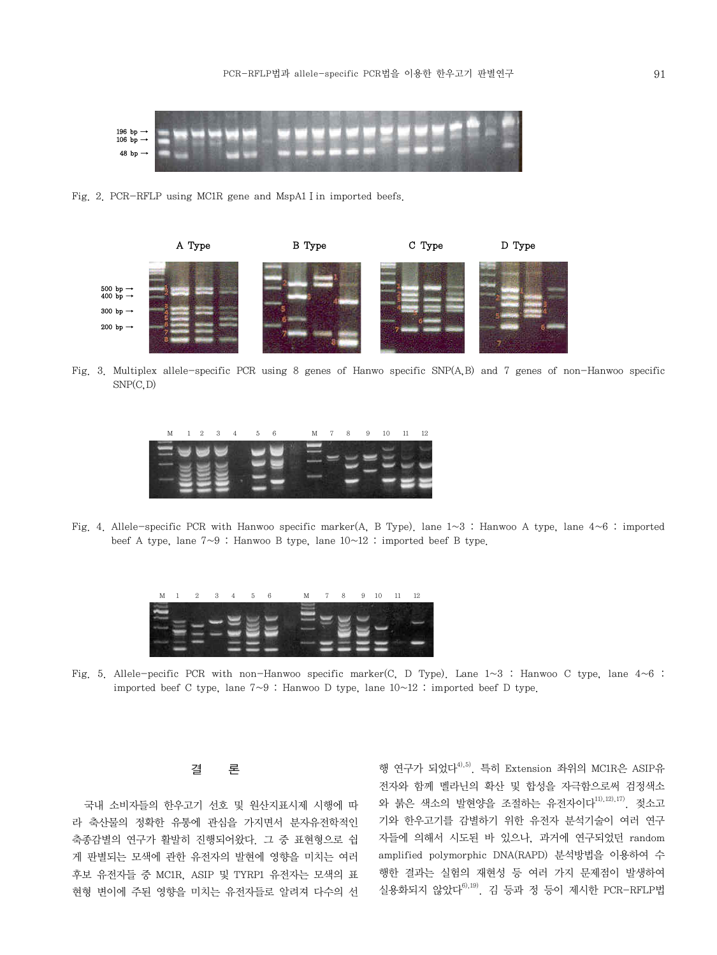

Fig. 2. PCR-RFLP using MC1R gene and MspA1 I in imported beefs.



Fig. 3. Multiplex allele-specific PCR using 8 genes of Hanwo specific SNP(A,B) and 7 genes of non-Hanwoo specific  $SNP(C, D)$ 



Fig. 4. Allele-specific PCR with Hanwoo specific marker(A, B Type). lane  $1~3$ : Hanwoo A type, lane  $4~6$ : imported beef A type, lane  $7{\sim}9$ : Hanwoo B type, lane  $10{\sim}12$ : imported beef B type.

| M 1 2 3 4 5 6 |  |  |  |  |  |  | M 7 8 9 10 11 12 |  |
|---------------|--|--|--|--|--|--|------------------|--|
|               |  |  |  |  |  |  |                  |  |
|               |  |  |  |  |  |  |                  |  |
|               |  |  |  |  |  |  |                  |  |
|               |  |  |  |  |  |  |                  |  |
|               |  |  |  |  |  |  |                  |  |

Fig. 5. Allele-pecific PCR with non-Hanwoo specific marker(C, D Type). Lane  $1\sim 3$ : Hanwoo C type, lane  $4\sim 6$ : imported beef C type, lane  $7~9$ : Hanwoo D type, lane  $10~12$ : imported beef D type.

### 결 론

국내 소비자들의 한우고기 선호 및 원산지표시제 시행에 따 라 축산물의 정확한 유통에 관심을 가지면서 분자유전학적인 축종감별의 연구가 활발히 진행되어왔다. 그 중 표현형으로 쉽 게 판별되는 모색에 관한 유전자의 발현에 영향을 미치는 여러 후보 유전자들 중 MC1R, ASIP 및 TYRP1 유전자는 모색의 표 현형 변이에 주된 영향을 미치는 유전자들로 알려져 다수의 선

행 연구가 되었다4),5). 특히 Extension 좌위의 MC1R은 ASIP유 전자와 함께 멜라닌의 확산 및 합성을 자극함으로써 검정색소 와 붉은 색소의 발현양을 조절하는 유전자이다 $^{111,121,171}$ . 젖소고 기와 한우고기를 감별하기 위한 유전자 분석기술이 여러 연구 자들에 의해서 시도된 바 있으나, 과거에 연구되었던 random amplified polymorphic DNA(RAPD) 분석방법을 이용하여 수 행한 결과는 실험의 재현성 등 여러 가지 문제점이 발생하여 실용화되지 않았다 $^{61,19}$ . 김 등과 정 등이 제시한 PCR-RFLP법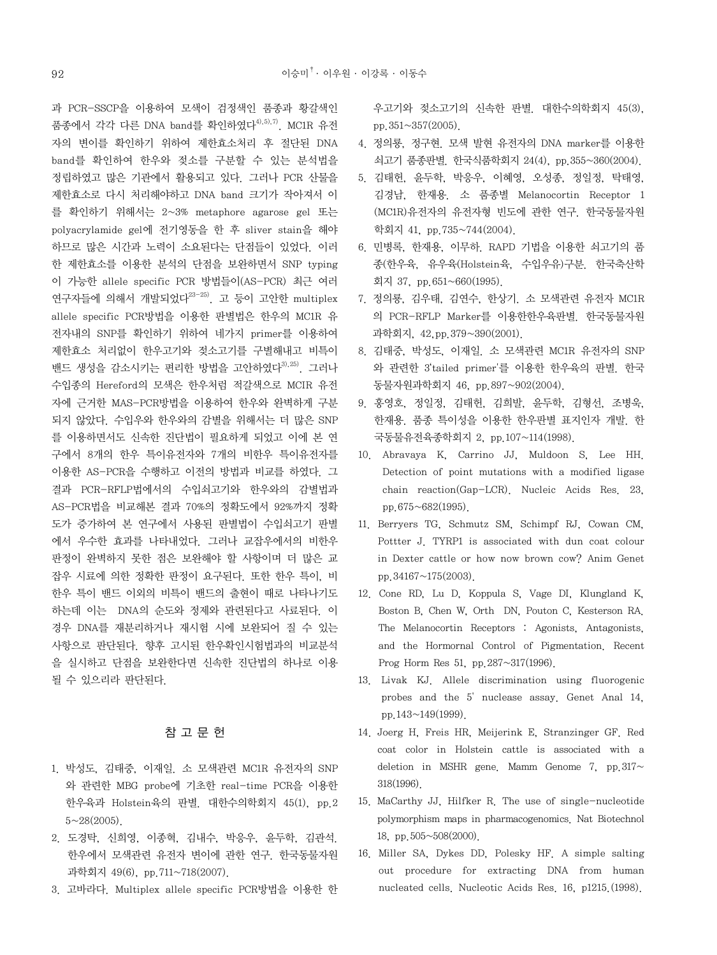과 PCR-SSCP을 이용하여 모색이 검정색인 품종과 황갈색인 품종에서 각각 다른 DNA band를 확인하였다 $4^{(4),5),7}$ . MC1R 유전 자의 변이를 확인하기 위하여 제한효소처리 후 절단된 DNA band를 확인하여 한우와 젖소를 구분할 수 있는 분석법을 정립하였고 많은 기관에서 활용되고 있다. 그러나 PCR 산물을 제한효소로 다시 처리해야하고 DNA band 크기가 작아져서 이 를 확인하기 위해서는 2~3% metaphore agarose gel 또는 polyacrylamide gel에 전기영동을 한 후 sliver stain을 해야 하므로 많은 시간과 노력이 소요된다는 단점들이 있었다. 이러 한 제한효소를 이용한 분석의 단점을 보완하면서 SNP typing 이 가능한 allele specific PCR 방법들이(AS-PCR) 최근 여러 연구자들에 의해서 개발되었다 $^{23-25)}$ . 고 등이 고안한 multiplex allele specific PCR방법을 이용한 판별법은 한우의 MC1R 유 전자내의 SNP를 확인하기 위하여 네가지 primer를 이용하여 제한효소 처리없이 한우고기와 젖소고기를 구별해내고 비특이 밴드 생성을 감소시키는 편리한 방법을 고안하였다<sup>3),25)</sup>. 그러나 수입종의 Hereford의 모색은 한우처럼 적갈색으로 MCIR 유전 자에 근거한 MAS-PCR방법을 이용하여 한우와 완벽하게 구분 되지 않았다. 수입우와 한우와의 감별을 위해서는 더 많은 SNP 를 이용하면서도 신속한 진단법이 필요하게 되었고 이에 본 연 구에서 8개의 한우 특이유전자와 7개의 비한우 특이유전자를 이용한 AS-PCR을 수행하고 이전의 방법과 비교를 하였다. 그 결과 PCR-RFLP법에서의 수입쇠고기와 한우와의 감별법과 AS-PCR법을 비교해본 결과 70%의 정확도에서 92%까지 정확 도가 증가하여 본 연구에서 사용된 판별법이 수입쇠고기 판별 에서 우수한 효과를 나타내었다. 그러나 교잡우에서의 비한우 판정이 완벽하지 못한 점은 보완해야 할 사항이며 더 많은 교 잡우 시료에 의한 정확한 판정이 요구된다. 또한 한우 특이, 비 한우 특이 밴드 이외의 비특이 밴드의 출현이 때로 나타나기도 하는데 이는 DNA의 순도와 정제와 관련된다고 사료된다. 이 경우 DNA를 재분리하거나 재시험 시에 보완되어 질 수 있는 사항으로 판단된다. 향후 고시된 한우확인시험법과의 비교분석 을 실시하고 단점을 보완한다면 신속한 진단법의 하나로 이용 될 수 있으리라 판단된다.

# 참 고 문 헌

- 1. 박성도, 김태중, 이재일. 소 모색관련 MC1R 유전자의 SNP 와 관련한 MBG probe에 기초한 real-time PCR을 이용한 한우육과 Holstein육의 판별. 대한수의학회지 45(1), pp.2  $5 \sim 28(2005)$ .
- 2. 도경탁, 신희영, 이종혁, 김내수, 박응우, 윤두학, 김관석. 한우에서 모색관련 유전자 변이에 관한 연구. 한국동물자원 과학회지 49(6), pp.711~718(2007).
- 3. 고바라다. Multiplex allele specific PCR방법을 이용한 한

우고기와 젖소고기의 신속한 판별. 대한수의학회지 45(3), pp.351~357(2005).

- 4. 정의룡, 정구현. 모색 발현 유전자의 DNA marker를 이용한 쇠고기 품종판별. 한국식품학회지 24(4), pp.355~360(2004).
- 5. 김태헌, 윤두학, 박응우, 이혜영, 오성종, 정일정, 탁태영, 김경남, 한재용. 소 품종별 Melanocortin Receptor 1 (MC1R)유전자의 유전자형 빈도에 관한 연구. 한국동물자원 학회지 41, pp.735~744(2004).
- 6. 민병록, 한재용, 이무하. RAPD 기법을 이용한 쇠고기의 품 종(한우육, 유우육(Holstein육, 수입우유)구분. 한국축산학 회지 37, pp.651~660(1995).
- 7. 정의룡, 김우태, 김연수, 한상기. 소 모색관련 유전자 MC1R 의 PCR-RFLP Marker를 이용한한우육판별. 한국동물자원 과학회지, 42,pp.379~390(2001).
- 8. 김태중, 박성도, 이재일. 소 모색관련 MC1R 유전자의 SNP 와 관련한 3'tailed primer'를 이용한 한우육의 판별. 한국 동물자원과학회지 46, pp.897~902(2004).
- 9. 홍영호, 정일정, 김태헌, 김희발, 윤두학, 김형선, 조병욱, 한재용. 품종 특이성을 이용한 한우판별 표지인자 개발. 한 국동물유전육종학회지 2, pp.107~114(1998).
- 10. Abravaya K, Carrino JJ, Muldoon S, Lee HH. Detection of point mutations with a modified ligase chain reaction(Gap-LCR). Nucleic Acids Res. 23, pp.675~682(1995).
- 11. Berryers TG, Schmutz SM, Schimpf RJ, Cowan CM, Pottter J. TYRP1 is associated with dun coat colour in Dexter cattle or how now brown cow? Anim Genet pp.34167~175(2003).
- 12. Cone RD, Lu D, Koppula S, Vage DI, Klungland K, Boston B, Chen W, Orth DN, Pouton C, Kesterson RA. The Melanocortin Receptors : Agonists, Antagonists, and the Hormornal Control of Pigmentation. Recent Prog Horm Res 51, pp.287~317(1996).
- 13. Livak KJ. Allele discrimination using fluorogenic probes and the 5' nuclease assay. Genet Anal 14, pp.143~149(1999).
- 14. Joerg H, Freis HR, Meijerink E, Stranzinger GF. Red coat color in Holstein cattle is associated with a deletion in MSHR gene. Mamm Genome 7, pp. 317 $\sim$ 318(1996).
- 15. MaCarthy JJ, Hilfker R. The use of single-nucleotide polymorphism maps in pharmacogenomics. Nat Biotechnol 18, pp.505~508(2000).
- 16. Miller SA, Dykes DD, Polesky HF. A simple salting out procedure for extracting DNA from human nucleated cells. Nucleotic Acids Res. 16, p1215.(1998).